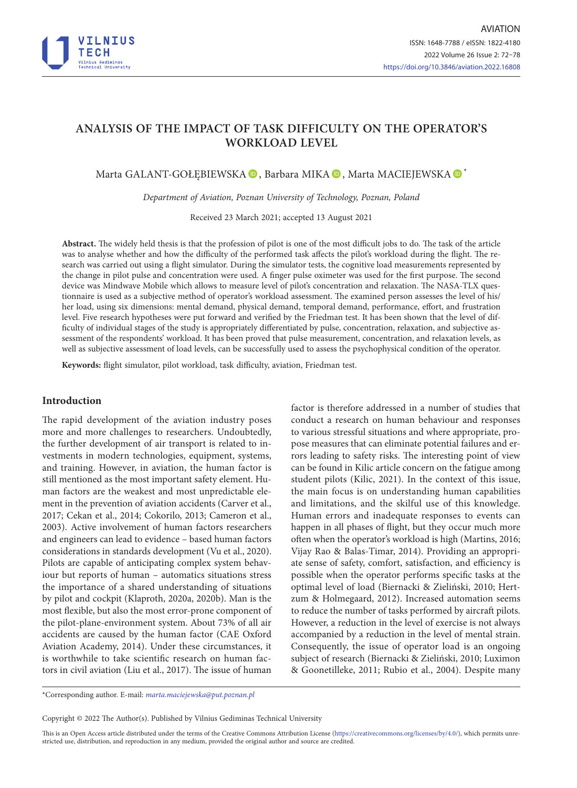

# **ANALYSIS OF THE IMPACT OF TASK DIFFICULTY ON THE OPERATOR'S WORKLOAD LEVEL**

Marta GALANT-GOŁĘBIEWSKA <sup>®</sup>, Barbara MIKA <sup>®</sup>, Marta MACIEJEWSKA <sup>®</sup>\*

*Department of Aviation, Poznan University of Technology, Poznan, Poland*

Received 23 March 2021; accepted 13 August 2021

**Abstract.** The widely held thesis is that the profession of pilot is one of the most difficult jobs to do. The task of the article was to analyse whether and how the difficulty of the performed task affects the pilot's workload during the flight. The research was carried out using a flight simulator. During the simulator tests, the cognitive load measurements represented by the change in pilot pulse and concentration were used. A finger pulse oximeter was used for the first purpose. The second device was Mindwave Mobile which allows to measure level of pilot's concentration and relaxation. The NASA-TLX questionnaire is used as a subjective method of operator's workload assessment. The examined person assesses the level of his/ her load, using six dimensions: mental demand, physical demand, temporal demand, performance, effort, and frustration level. Five research hypotheses were put forward and verified by the Friedman test. It has been shown that the level of difficulty of individual stages of the study is appropriately differentiated by pulse, concentration, relaxation, and subjective assessment of the respondents' workload. It has been proved that pulse measurement, concentration, and relaxation levels, as well as subjective assessment of load levels, can be successfully used to assess the psychophysical condition of the operator.

**Keywords:** flight simulator, pilot workload, task difficulty, aviation, Friedman test.

### **Introduction**

The rapid development of the aviation industry poses more and more challenges to researchers. Undoubtedly, the further development of air transport is related to investments in modern technologies, equipment, systems, and training. However, in aviation, the human factor is still mentioned as the most important safety element. Human factors are the weakest and most unpredictable element in the prevention of aviation accidents (Carver et al., 2017; Cekan et al., 2014; Cokorilo, 2013; Cameron et al., 2003). Active involvement of human factors researchers and engineers can lead to evidence – based human factors considerations in standards development (Vu et al., 2020). Pilots are capable of anticipating complex system behaviour but reports of human – automatics situations stress the importance of a shared understanding of situations by pilot and cockpit (Klaproth, 2020a, 2020b). Man is the most flexible, but also the most error-prone component of the pilot-plane-environment system. About 73% of all air accidents are caused by the human factor (CAE Oxford Aviation Academy, 2014). Under these circumstances, it is worthwhile to take scientific research on human factors in civil aviation (Liu et al., 2017). The issue of human

factor is therefore addressed in a number of studies that conduct a research on human behaviour and responses to various stressful situations and where appropriate, propose measures that can eliminate potential failures and errors leading to safety risks. The interesting point of view can be found in Kilic article concern on the fatigue among student pilots (Kilic, 2021). In the context of this issue, the main focus is on understanding human capabilities and limitations, and the skilful use of this knowledge. Human errors and inadequate responses to events can happen in all phases of flight, but they occur much more often when the operator's workload is high (Martins, 2016; Vijay Rao & Balas-Timar, 2014). Providing an appropriate sense of safety, comfort, satisfaction, and efficiency is possible when the operator performs specific tasks at the optimal level of load (Biernacki & Zieliński, 2010; Hertzum & Holmegaard, 2012). Increased automation seems to reduce the number of tasks performed by aircraft pilots. However, a reduction in the level of exercise is not always accompanied by a reduction in the level of mental strain. Consequently, the issue of operator load is an ongoing subject of research (Biernacki & Zieliński, 2010; Luximon & Goonetilleke, 2011; Rubio et al., 2004). Despite many

Copyright © 2022 The Author(s). Published by Vilnius Gediminas Technical University

This is an Open Access article distributed under the terms of the Creative Commons Attribution License [\(https://creativecommons.org/licenses/by/4.0/\)](http://creativecommons.org/licenses/by/4.0/), which permits unrestricted use, distribution, and reproduction in any medium, provided the original author and source are credited.

<sup>\*</sup>Corresponding author. E-mail: *marta.maciejewska@put.poznan.pl*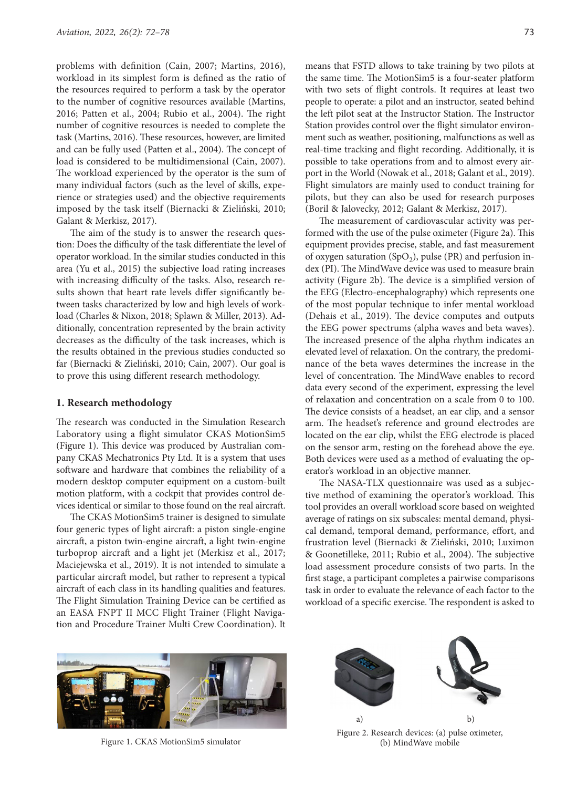problems with definition (Cain, 2007; Martins, 2016), workload in its simplest form is defined as the ratio of the resources required to perform a task by the operator to the number of cognitive resources available (Martins, 2016; Patten et al., 2004; Rubio et al., 2004). The right number of cognitive resources is needed to complete the task (Martins, 2016). These resources, however, are limited and can be fully used (Patten et al., 2004). The concept of load is considered to be multidimensional (Cain, 2007). The workload experienced by the operator is the sum of many individual factors (such as the level of skills, experience or strategies used) and the objective requirements imposed by the task itself (Biernacki & Zieliński, 2010; Galant & Merkisz, 2017).

The aim of the study is to answer the research question: Does the difficulty of the task differentiate the level of operator workload. In the similar studies conducted in this area (Yu et al., 2015) the subjective load rating increases with increasing difficulty of the tasks. Also, research results shown that heart rate levels differ significantly between tasks characterized by low and high levels of workload (Charles & Nixon, 2018; Splawn & Miller, 2013). Additionally, concentration represented by the brain activity decreases as the difficulty of the task increases, which is the results obtained in the previous studies conducted so far (Biernacki & Zieliński, 2010; Cain, 2007). Our goal is to prove this using different research methodology.

#### **1. Research methodology**

The research was conducted in the Simulation Research Laboratory using a flight simulator CKAS MotionSim5 (Figure 1). This device was produced by Australian company CKAS Mechatronics Pty Ltd. It is a system that uses software and hardware that combines the reliability of a modern desktop computer equipment on a custom-built motion platform, with a cockpit that provides control devices identical or similar to those found on the real aircraft.

The CKAS MotionSim5 trainer is designed to simulate four generic types of light aircraft: a piston single-engine aircraft, a piston twin-engine aircraft, a light twin-engine turboprop aircraft and a light jet (Merkisz et al., 2017; Maciejewska et al., 2019). It is not intended to simulate a particular aircraft model, but rather to represent a typical aircraft of each class in its handling qualities and features. The Flight Simulation Training Device can be certified as an EASA FNPT II MCC Flight Trainer (Flight Navigation and Procedure Trainer Multi Crew Coordination). It

means that FSTD allows to take training by two pilots at the same time. The MotionSim5 is a four-seater platform with two sets of flight controls. It requires at least two people to operate: a pilot and an instructor, seated behind the left pilot seat at the Instructor Station. The Instructor Station provides control over the flight simulator environment such as weather, positioning, malfunctions as well as real-time tracking and flight recording. Additionally, it is possible to take operations from and to almost every airport in the World (Nowak et al., 2018; Galant et al., 2019). Flight simulators are mainly used to conduct training for pilots, but they can also be used for research purposes (Boril & Jalovecky, 2012; Galant & Merkisz, 2017).

The measurement of cardiovascular activity was performed with the use of the pulse oximeter (Figure 2a). This equipment provides precise, stable, and fast measurement of oxygen saturation (SpO<sub>2</sub>), pulse (PR) and perfusion index (PI). The MindWave device was used to measure brain activity (Figure 2b). The device is a simplified version of the EEG (Electro-encephalography) which represents one of the most popular technique to infer mental workload (Dehais et al., 2019). The device computes and outputs the EEG power spectrums (alpha waves and beta waves). The increased presence of the alpha rhythm indicates an elevated level of relaxation. On the contrary, the predominance of the beta waves determines the increase in the level of concentration. The MindWave enables to record data every second of the experiment, expressing the level of relaxation and concentration on a scale from 0 to 100. The device consists of a headset, an ear clip, and a sensor arm. The headset's reference and ground electrodes are located on the ear clip, whilst the EEG electrode is placed on the sensor arm, resting on the forehead above the eye. Both devices were used as a method of evaluating the operator's workload in an objective manner.

The NASA-TLX questionnaire was used as a subjective method of examining the operator's workload. This tool provides an overall workload score based on weighted average of ratings on six subscales: mental demand, physical demand, temporal demand, performance, effort, and frustration level (Biernacki & Zieliński, 2010; Luximon & Goonetilleke, 2011; Rubio et al., 2004). The subjective load assessment procedure consists of two parts. In the first stage, a participant completes a pairwise comparisons task in order to evaluate the relevance of each factor to the workload of a specific exercise. The respondent is asked to



Figure 1. CKAS MotionSim5 simulator



Figure 2. Research devices: (a) pulse oximeter, (b) MindWave mobile a) b)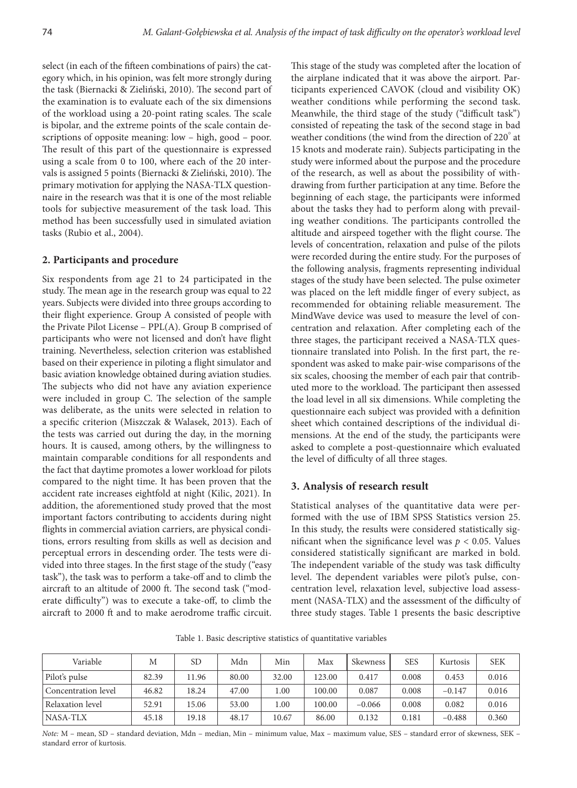select (in each of the fifteen combinations of pairs) the category which, in his opinion, was felt more strongly during the task (Biernacki & Zieliński, 2010). The second part of the examination is to evaluate each of the six dimensions of the workload using a 20-point rating scales. The scale is bipolar, and the extreme points of the scale contain descriptions of opposite meaning: low – high, good – poor. The result of this part of the questionnaire is expressed using a scale from 0 to 100, where each of the 20 intervals is assigned 5 points (Biernacki & Zieliński, 2010). The primary motivation for applying the NASA-TLX questionnaire in the research was that it is one of the most reliable tools for subjective measurement of the task load. This method has been successfully used in simulated aviation tasks (Rubio et al., 2004).

#### **2. Participants and procedure**

Six respondents from age 21 to 24 participated in the study. The mean age in the research group was equal to 22 years. Subjects were divided into three groups according to their flight experience. Group A consisted of people with the Private Pilot License – PPL(A). Group B comprised of participants who were not licensed and don't have flight training. Nevertheless, selection criterion was established based on their experience in piloting a flight simulator and basic aviation knowledge obtained during aviation studies. The subjects who did not have any aviation experience were included in group C. The selection of the sample was deliberate, as the units were selected in relation to a specific criterion (Miszczak & Walasek, 2013). Each of the tests was carried out during the day, in the morning hours. It is caused, among others, by the willingness to maintain comparable conditions for all respondents and the fact that daytime promotes a lower workload for pilots compared to the night time. It has been proven that the accident rate increases eightfold at night (Kilic, 2021). In addition, the aforementioned study proved that the most important factors contributing to accidents during night flights in commercial aviation carriers, are physical conditions, errors resulting from skills as well as decision and perceptual errors in descending order. The tests were divided into three stages. In the first stage of the study ("easy task"), the task was to perform a take-off and to climb the aircraft to an altitude of 2000 ft. The second task ("moderate difficulty") was to execute a take-off, to climb the aircraft to 2000 ft and to make aerodrome traffic circuit.

This stage of the study was completed after the location of the airplane indicated that it was above the airport. Participants experienced CAVOK (cloud and visibility OK) weather conditions while performing the second task. Meanwhile, the third stage of the study ("difficult task") consisted of repeating the task of the second stage in bad weather conditions (the wind from the direction of 220° at 15 knots and moderate rain). Subjects participating in the study were informed about the purpose and the procedure of the research, as well as about the possibility of withdrawing from further participation at any time. Before the beginning of each stage, the participants were informed about the tasks they had to perform along with prevailing weather conditions. The participants controlled the altitude and airspeed together with the flight course. The levels of concentration, relaxation and pulse of the pilots were recorded during the entire study. For the purposes of the following analysis, fragments representing individual stages of the study have been selected. The pulse oximeter was placed on the left middle finger of every subject, as recommended for obtaining reliable measurement. The MindWave device was used to measure the level of concentration and relaxation. After completing each of the three stages, the participant received a NASA-TLX questionnaire translated into Polish. In the first part, the respondent was asked to make pair-wise comparisons of the six scales, choosing the member of each pair that contributed more to the workload. The participant then assessed the load level in all six dimensions. While completing the questionnaire each subject was provided with a definition sheet which contained descriptions of the individual dimensions. At the end of the study, the participants were asked to complete a post-questionnaire which evaluated the level of difficulty of all three stages.

## **3. Analysis of research result**

Statistical analyses of the quantitative data were performed with the use of IBM SPSS Statistics version 25. In this study, the results were considered statistically significant when the significance level was  $p < 0.05$ . Values considered statistically significant are marked in bold. The independent variable of the study was task difficulty level. The dependent variables were pilot's pulse, concentration level, relaxation level, subjective load assessment (NASA-TLX) and the assessment of the difficulty of three study stages. Table 1 presents the basic descriptive

Table 1. Basic descriptive statistics of quantitative variables

| Variable            | М     | <b>SD</b> | Mdn   | Min   | Max    | Skewness | <b>SES</b> | Kurtosis | <b>SEK</b> |
|---------------------|-------|-----------|-------|-------|--------|----------|------------|----------|------------|
| Pilot's pulse       | 82.39 | 11.96     | 80.00 | 32.00 | 123.00 | 0.417    | 0.008      | 0.453    | 0.016      |
| Concentration level | 46.82 | 18.24     | 47.00 | 1.00  | 100.00 | 0.087    | 0.008      | $-0.147$ | 0.016      |
| Relaxation level    | 52.91 | 15.06     | 53.00 | 1.00  | 100.00 | $-0.066$ | 0.008      | 0.082    | 0.016      |
| <b>NASA-TLX</b>     | 45.18 | 19.18     | 48.17 | 10.67 | 86.00  | 0.132    | 0.181      | $-0.488$ | 0.360      |

*Note:* M – mean, SD – standard deviation, Mdn – median, Min – minimum value, Max – maximum value, SES – standard error of skewness, SEK – standard error of kurtosis.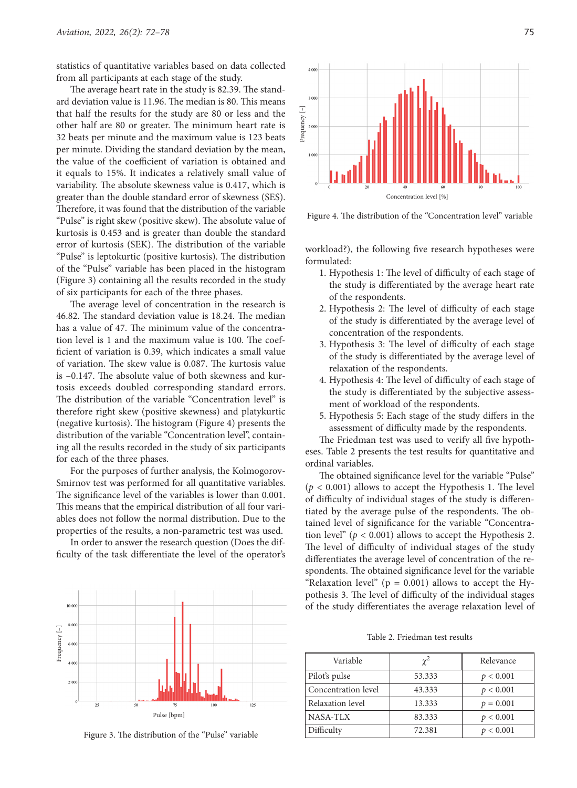statistics of quantitative variables based on data collected from all participants at each stage of the study.

The average heart rate in the study is 82.39. The standard deviation value is 11.96. The median is 80. This means that half the results for the study are 80 or less and the other half are 80 or greater. The minimum heart rate is 32 beats per minute and the maximum value is 123 beats per minute. Dividing the standard deviation by the mean, the value of the coefficient of variation is obtained and it equals to 15%. It indicates a relatively small value of variability. The absolute skewness value is 0.417, which is greater than the double standard error of skewness (SES). Therefore, it was found that the distribution of the variable "Pulse" is right skew (positive skew). The absolute value of kurtosis is 0.453 and is greater than double the standard error of kurtosis (SEK). The distribution of the variable "Pulse" is leptokurtic (positive kurtosis). The distribution of the "Pulse" variable has been placed in the histogram (Figure 3) containing all the results recorded in the study of six participants for each of the three phases.

The average level of concentration in the research is 46.82. The standard deviation value is 18.24. The median has a value of 47. The minimum value of the concentration level is 1 and the maximum value is 100. The coefficient of variation is 0.39, which indicates a small value of variation. The skew value is 0.087. The kurtosis value is –0.147. The absolute value of both skewness and kurtosis exceeds doubled corresponding standard errors. The distribution of the variable "Concentration level" is therefore right skew (positive skewness) and platykurtic (negative kurtosis). The histogram (Figure 4) presents the distribution of the variable "Concentration level", containing all the results recorded in the study of six participants for each of the three phases.

For the purposes of further analysis, the Kolmogorov-Smirnov test was performed for all quantitative variables. The significance level of the variables is lower than 0.001. This means that the empirical distribution of all four variables does not follow the normal distribution. Due to the properties of the results, a non-parametric test was used.

In order to answer the research question (Does the difficulty of the task differentiate the level of the operator's



Figure 3. The distribution of the "Pulse" variable



Figure 4. The distribution of the "Concentration level" variable

workload?), the following five research hypotheses were formulated:

- 1. Hypothesis 1: The level of difficulty of each stage of the study is differentiated by the average heart rate of the respondents.
- 2. Hypothesis 2: The level of difficulty of each stage of the study is differentiated by the average level of concentration of the respondents.
- 3. Hypothesis 3: The level of difficulty of each stage of the study is differentiated by the average level of relaxation of the respondents.
- 4. Hypothesis 4: The level of difficulty of each stage of the study is differentiated by the subjective assessment of workload of the respondents.
- 5. Hypothesis 5: Each stage of the study differs in the assessment of difficulty made by the respondents.

The Friedman test was used to verify all five hypotheses. Table 2 presents the test results for quantitative and ordinal variables.

The obtained significance level for the variable "Pulse"  $(p < 0.001)$  allows to accept the Hypothesis 1. The level of difficulty of individual stages of the study is differentiated by the average pulse of the respondents. The obtained level of significance for the variable "Concentration level" ( $p < 0.001$ ) allows to accept the Hypothesis 2. The level of difficulty of individual stages of the study differentiates the average level of concentration of the respondents. The obtained significance level for the variable "Relaxation level" ( $p = 0.001$ ) allows to accept the Hypothesis 3. The level of difficulty of the individual stages of the study differentiates the average relaxation level of

Table 2. Friedman test results

| Variable            | $\chi^2$ | Relevance   |
|---------------------|----------|-------------|
| Pilot's pulse       | 53.333   | p < 0.001   |
| Concentration level | 43.333   | p < 0.001   |
| Relaxation level    | 13.333   | $p = 0.001$ |
| NASA-TLX            | 83.333   | p < 0.001   |
| Difficulty          | 72.381   | p < 0.001   |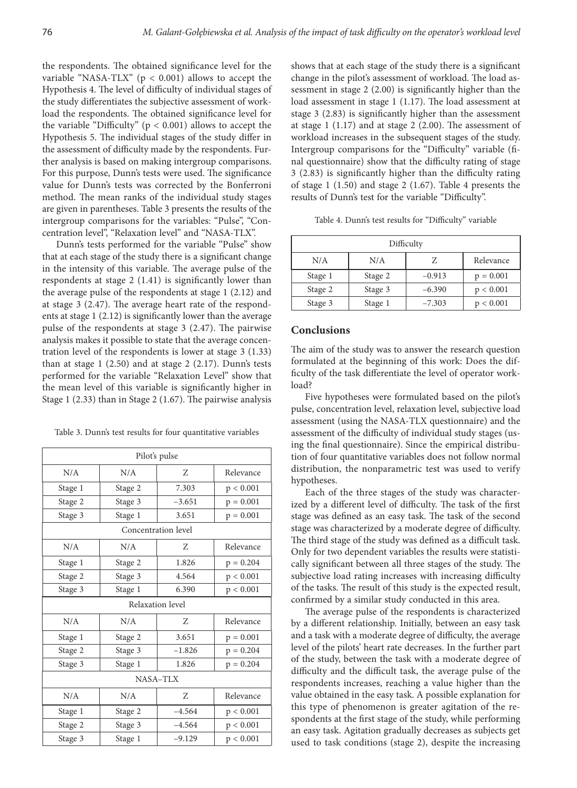the respondents. The obtained significance level for the variable "NASA-TLX" ( $p < 0.001$ ) allows to accept the Hypothesis 4. The level of difficulty of individual stages of the study differentiates the subjective assessment of workload the respondents. The obtained significance level for the variable "Difficulty" ( $p < 0.001$ ) allows to accept the Hypothesis 5. The individual stages of the study differ in the assessment of difficulty made by the respondents. Further analysis is based on making intergroup comparisons. For this purpose, Dunn's tests were used. The significance value for Dunn's tests was corrected by the Bonferroni method. The mean ranks of the individual study stages are given in parentheses. Table 3 presents the results of the intergroup comparisons for the variables: "Pulse", "Concentration level", "Relaxation level" and "NASA-TLX".

Dunn's tests performed for the variable "Pulse" show that at each stage of the study there is a significant change in the intensity of this variable. The average pulse of the respondents at stage 2 (1.41) is significantly lower than the average pulse of the respondents at stage 1 (2.12) and at stage 3 (2.47). The average heart rate of the respondents at stage 1 (2.12) is significantly lower than the average pulse of the respondents at stage 3 (2.47). The pairwise analysis makes it possible to state that the average concentration level of the respondents is lower at stage 3 (1.33) than at stage  $1$  (2.50) and at stage  $2$  (2.17). Dunn's tests performed for the variable "Relaxation Level" show that the mean level of this variable is significantly higher in Stage 1 (2.33) than in Stage 2 (1.67). The pairwise analysis

Table 3. Dunn's test results for four quantitative variables

| Pilot's pulse       |         |          |             |  |  |
|---------------------|---------|----------|-------------|--|--|
| N/A                 | N/A     | Z        | Relevance   |  |  |
| Stage 1             | Stage 2 | 7.303    | p < 0.001   |  |  |
| Stage 2             | Stage 3 | $-3.651$ | $p = 0.001$ |  |  |
| Stage 3             | Stage 1 | 3.651    | $p = 0.001$ |  |  |
| Concentration level |         |          |             |  |  |
| N/A                 | N/A     | Ζ        | Relevance   |  |  |
| Stage 1             | Stage 2 | 1.826    | $p = 0.204$ |  |  |
| Stage 2             | Stage 3 | 4.564    | p < 0.001   |  |  |
| Stage 3             | Stage 1 | 6.390    | p < 0.001   |  |  |
| Relaxation level    |         |          |             |  |  |
| N/A                 | N/A     | Z        | Relevance   |  |  |
| Stage 1             | Stage 2 | 3.651    | $p = 0.001$ |  |  |
| Stage 2             | Stage 3 | $-1.826$ | $p = 0.204$ |  |  |
| Stage 3             | Stage 1 | 1.826    | $p = 0.204$ |  |  |
| NASA-TLX            |         |          |             |  |  |
| N/A                 | N/A     | Ζ        | Relevance   |  |  |
| Stage 1             | Stage 2 | $-4.564$ | p < 0.001   |  |  |
| Stage 2             | Stage 3 | $-4.564$ | p < 0.001   |  |  |
| Stage 3             | Stage 1 | $-9.129$ | p < 0.001   |  |  |
|                     |         |          |             |  |  |

shows that at each stage of the study there is a significant change in the pilot's assessment of workload. The load assessment in stage 2 (2.00) is significantly higher than the load assessment in stage 1 (1.17). The load assessment at stage 3 (2.83) is significantly higher than the assessment at stage 1 (1.17) and at stage 2 (2.00). The assessment of workload increases in the subsequent stages of the study. Intergroup comparisons for the "Difficulty" variable (final questionnaire) show that the difficulty rating of stage 3 (2.83) is significantly higher than the difficulty rating of stage 1 (1.50) and stage 2 (1.67). Table 4 presents the results of Dunn's test for the variable "Difficulty".

Table 4. Dunn's test results for "Difficulty" variable

| Difficulty |         |          |             |  |  |
|------------|---------|----------|-------------|--|--|
| N/A        | N/A     |          | Relevance   |  |  |
| Stage 1    | Stage 2 | $-0.913$ | $p = 0.001$ |  |  |
| Stage 2    | Stage 3 | $-6.390$ | p < 0.001   |  |  |
| Stage 3    | Stage 1 | $-7.303$ | p < 0.001   |  |  |

# **Conclusions**

The aim of the study was to answer the research question formulated at the beginning of this work: Does the difficulty of the task differentiate the level of operator workload?

Five hypotheses were formulated based on the pilot's pulse, concentration level, relaxation level, subjective load assessment (using the NASA-TLX questionnaire) and the assessment of the difficulty of individual study stages (using the final questionnaire). Since the empirical distribution of four quantitative variables does not follow normal distribution, the nonparametric test was used to verify hypotheses.

Each of the three stages of the study was characterized by a different level of difficulty. The task of the first stage was defined as an easy task. The task of the second stage was characterized by a moderate degree of difficulty. The third stage of the study was defined as a difficult task. Only for two dependent variables the results were statistically significant between all three stages of the study. The subjective load rating increases with increasing difficulty of the tasks. The result of this study is the expected result, confirmed by a similar study conducted in this area.

The average pulse of the respondents is characterized by a different relationship. Initially, between an easy task and a task with a moderate degree of difficulty, the average level of the pilots' heart rate decreases. In the further part of the study, between the task with a moderate degree of difficulty and the difficult task, the average pulse of the respondents increases, reaching a value higher than the value obtained in the easy task. A possible explanation for this type of phenomenon is greater agitation of the respondents at the first stage of the study, while performing an easy task. Agitation gradually decreases as subjects get used to task conditions (stage 2), despite the increasing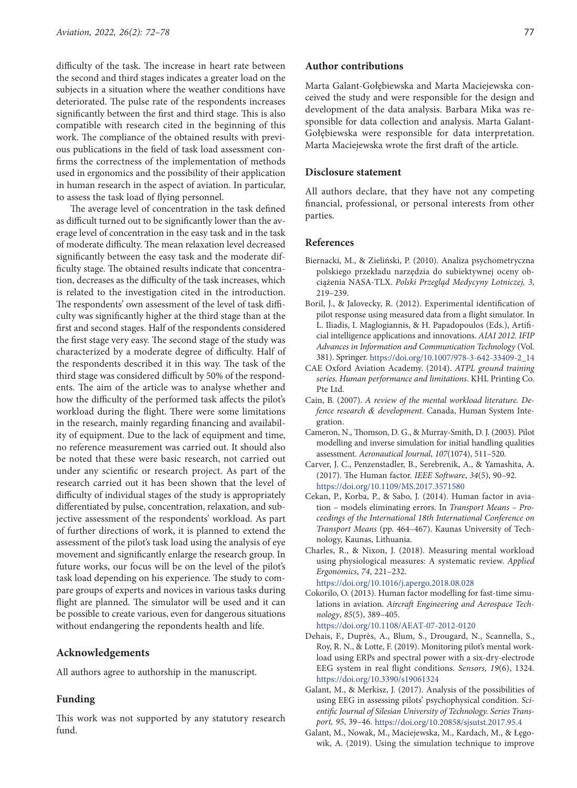difficulty of the task. The increase in heart rate between the second and third stages indicates a greater load on the subjects in a situation where the weather conditions have deteriorated. The pulse rate of the respondents increases significantly between the first and third stage. This is also compatible with research cited in the beginning of this work. The compliance of the obtained results with previous publications in the field of task load assessment confirms the correctness of the implementation of methods used in ergonomics and the possibility of their application in human research in the aspect of aviation. In particular, to assess the task load of flying personnel.

The average level of concentration in the task defined as difficult turned out to be significantly lower than the average level of concentration in the easy task and in the task of moderate difficulty. The mean relaxation level decreased significantly between the easy task and the moderate difficulty stage. The obtained results indicate that concentration, decreases as the difficulty of the task increases, which is related to the investigation cited in the introduction. The respondents' own assessment of the level of task difficulty was significantly higher at the third stage than at the first and second stages. Half of the respondents considered the first stage very easy. The second stage of the study was characterized by a moderate degree of difficulty. Half of the respondents described it in this way. The task of the third stage was considered difficult by 50% of the respondents. The aim of the article was to analyse whether and how the difficulty of the performed task affects the pilot's workload during the flight. There were some limitations in the research, mainly regarding financing and availability of equipment. Due to the lack of equipment and time, no reference measurement was carried out. It should also be noted that these were basic research, not carried out under any scientific or research project. As part of the research carried out it has been shown that the level of difficulty of individual stages of the study is appropriately differentiated by pulse, concentration, relaxation, and subjective assessment of the respondents' workload. As part of further directions of work, it is planned to extend the assessment of the pilot's task load using the analysis of eye movement and significantly enlarge the research group. In future works, our focus will be on the level of the pilot's task load depending on his experience. The study to compare groups of experts and novices in various tasks during flight are planned. The simulator will be used and it can be possible to create various, even for dangerous situations without endangering the repondents health and life.

# **Acknowledgements**

All authors agree to authorship in the manuscript.

# **Funding**

This work was not supported by any statutory research fund.

## **Author contributions**

Marta Galant-Gołębiewska and Marta Maciejewska conceived the study and were responsible for the design and development of the data analysis. Barbara Mika was responsible for data collection and analysis. Marta Galant-Gołębiewska were responsible for data interpretation. Marta Maciejewska wrote the first draft of the article.

#### **Disclosure statement**

All authors declare, that they have not any competing financial, professional, or personal interests from other parties.

### **References**

- Biernacki, M., & Zieliński, P. (2010). Analiza psychometryczna polskiego przekładu narzędzia do subiektywnej oceny obciążenia NASA-TLX. *Polski Przegląd Medycyny Lotniczej, 3*, 219–239.
- Boril, J., & Jalovecky, R. (2012). Experimental identification of pilot response using measured data from a flight simulator. In L. Iliadis, I. Maglogiannis, & H. Papadopoulos (Eds.), Artificial intelligence applications and innovations. *AIAI 2012. IFIP Advances in Information and Communication Technology* (Vol. 381). Springer. [https://doi.org/10.1007/978-3-642-33409-2\\_14](https://doi.org/10.1007/978-3-642-33409-2_14)
- CAE Oxford Aviation Academy. (2014). *ATPL ground training series. Human performance and limitations*. KHL Printing Co. Pte Ltd.
- Cain, B. (2007). *A review of the mental workload literature. Defence research & development*. Canada, Human System Integration.
- Cameron, N., Thomson, D. G., & Murray-Smith, D. J. (2003). Pilot modelling and inverse simulation for initial handling qualities assessment. *Aeronautical Journal*, *107*(1074), 511–520*.*
- Carver, J. C., Penzenstadler, B., Serebrenik, A., & Yamashita, A. (2017). The Human factor. *IEEE Software*, *34*(5), 90–92. <https://doi.org/10.1109/MS.2017.3571580>
- Cekan, P., Korba, P., & Sabo, J. (2014). Human factor in aviation – models eliminating errors. In *Transport Means – Proceedings of the International 18th International Conference on Transport Means* (pp. 464–467). Kaunas University of Technology, Kaunas, Lithuania.
- Charles, R., & Nixon, J. (2018). Measuring mental workload using physiological measures: A systematic review. *Applied Ergonomics*, *74*, 221–232.

<https://doi.org/10.1016/j.apergo.2018.08.028>

Cokorilo, O. (2013). Human factor modelling for fast-time simulations in aviation. *Aircraft Engineering and Aerospace Technology*, *85*(5), 389–405.

<https://doi.org/10.1108/AEAT-07-2012-0120>

- Dehais, F., Duprès, A., Blum, S., Drougard, N., Scannella, S., Roy, R. N., & Lotte, F. (2019). Monitoring pilot's mental workload using ERPs and spectral power with a six-dry-electrode EEG system in real flight conditions. *Sensors, 19*(6), 1324. <https://doi.org/10.3390/s19061324>
- Galant, M., & Merkisz, J. (2017). Analysis of the possibilities of using EEG in assessing pilots' psychophysical condition. *Scientific Journal of Silesian University of Technology. Series Transport, 95*, 39–46. <https://doi.org/10.20858/sjsutst.2017.95.4>
- Galant, M., Nowak, M., Maciejewska, M., Kardach, M., & Łęgowik, A. (2019). Using the simulation technique to improve